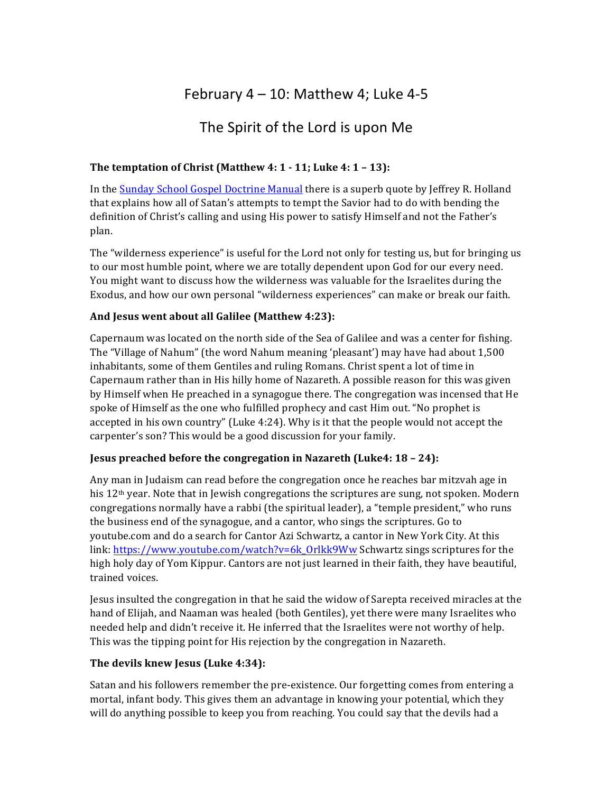## February  $4 - 10$ : Matthew 4; Luke 4-5

### The Spirit of the Lord is upon Me

#### **The temptation of Christ (Matthew 4: 1 - 11; Luke 4: 1 - 13):**

In the Sunday School Gospel Doctrine Manual there is a superb quote by Jeffrey R. Holland that explains how all of Satan's attempts to tempt the Savior had to do with bending the definition of Christ's calling and using His power to satisfy Himself and not the Father's plan.

The "wilderness experience" is useful for the Lord not only for testing us, but for bringing us to our most humble point, where we are totally dependent upon God for our every need. You might want to discuss how the wilderness was valuable for the Israelites during the Exodus, and how our own personal "wilderness experiences" can make or break our faith.

#### And Jesus went about all Galilee (Matthew 4:23):

Capernaum was located on the north side of the Sea of Galilee and was a center for fishing. The "Village of Nahum" (the word Nahum meaning 'pleasant') may have had about 1,500 inhabitants, some of them Gentiles and ruling Romans. Christ spent a lot of time in Capernaum rather than in His hilly home of Nazareth. A possible reason for this was given by Himself when He preached in a synagogue there. The congregation was incensed that He spoke of Himself as the one who fulfilled prophecy and cast Him out. "No prophet is accepted in his own country" (Luke 4:24). Why is it that the people would not accept the carpenter's son? This would be a good discussion for your family.

#### **Jesus preached before the congregation in Nazareth (Luke4: 18 - 24):**

Any man in Judaism can read before the congregation once he reaches bar mitzvah age in his  $12<sup>th</sup>$  year. Note that in Jewish congregations the scriptures are sung, not spoken. Modern congregations normally have a rabbi (the spiritual leader), a "temple president," who runs the business end of the synagogue, and a cantor, who sings the scriptures. Go to youtube.com and do a search for Cantor Azi Schwartz, a cantor in New York City. At this link: https://www.youtube.com/watch?v=6k\_Orlkk9Ww Schwartz sings scriptures for the high holy day of Yom Kippur. Cantors are not just learned in their faith, they have beautiful, trained voices.

Jesus insulted the congregation in that he said the widow of Sarepta received miracles at the hand of Elijah, and Naaman was healed (both Gentiles), yet there were many Israelites who needed help and didn't receive it. He inferred that the Israelites were not worthy of help. This was the tipping point for His rejection by the congregation in Nazareth.

#### **The devils knew Jesus (Luke 4:34):**

Satan and his followers remember the pre-existence. Our forgetting comes from entering a mortal, infant body. This gives them an advantage in knowing your potential, which they will do anything possible to keep you from reaching. You could say that the devils had a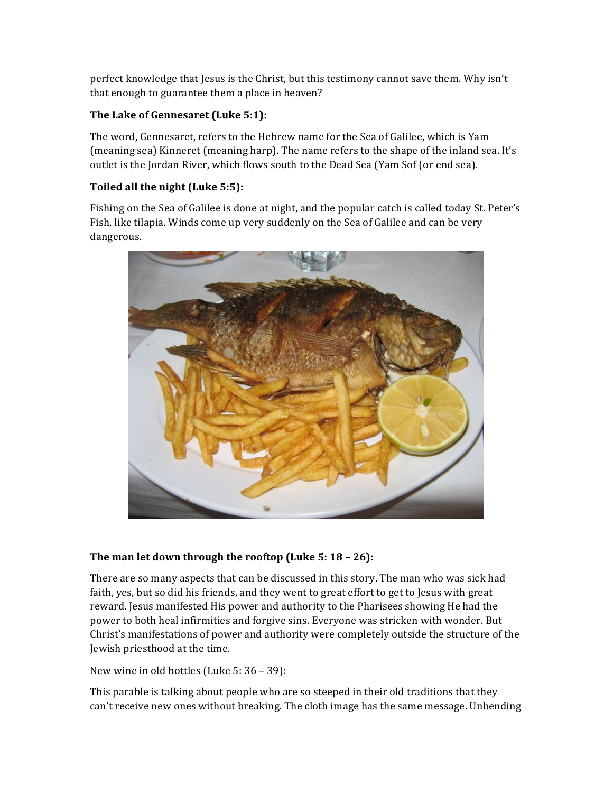perfect knowledge that Jesus is the Christ, but this testimony cannot save them. Why isn't that enough to guarantee them a place in heaven?

#### The Lake of Gennesaret (Luke 5:1):

The word, Gennesaret, refers to the Hebrew name for the Sea of Galilee, which is Yam (meaning sea) Kinneret (meaning harp). The name refers to the shape of the inland sea. It's outlet is the Jordan River, which flows south to the Dead Sea (Yam Sof (or end sea).

#### Toiled all the night (Luke 5:5):

Fishing on the Sea of Galilee is done at night, and the popular catch is called today St. Peter's Fish, like tilapia. Winds come up very suddenly on the Sea of Galilee and can be very dangerous.



#### **The man let down through the rooftop (Luke 5: 18 - 26):**

There are so many aspects that can be discussed in this story. The man who was sick had faith, yes, but so did his friends, and they went to great effort to get to Jesus with great reward. Jesus manifested His power and authority to the Pharisees showing He had the power to both heal infirmities and forgive sins. Everyone was stricken with wonder. But Christ's manifestations of power and authority were completely outside the structure of the Jewish priesthood at the time.

New wine in old bottles (Luke  $5:36 - 39$ ):

This parable is talking about people who are so steeped in their old traditions that they can't receive new ones without breaking. The cloth image has the same message. Unbending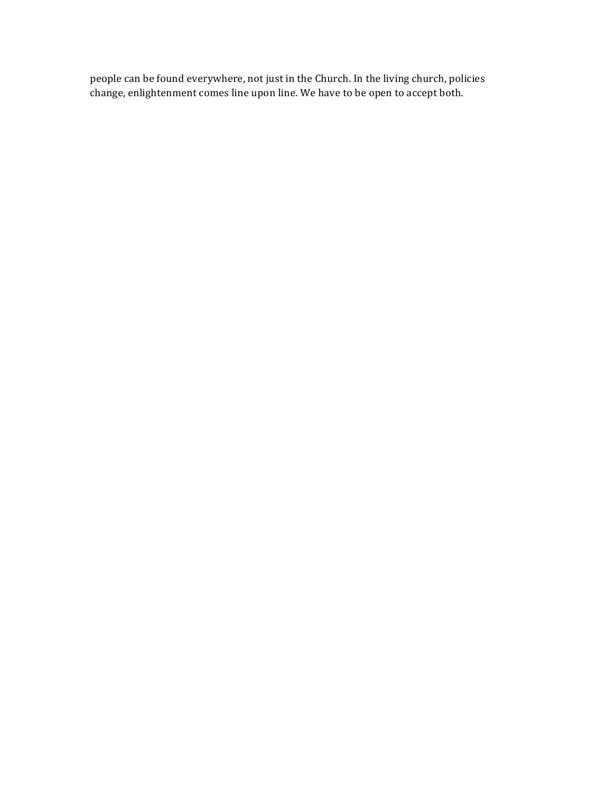people can be found everywhere, not just in the Church. In the living church, policies change, enlightenment comes line upon line. We have to be open to accept both.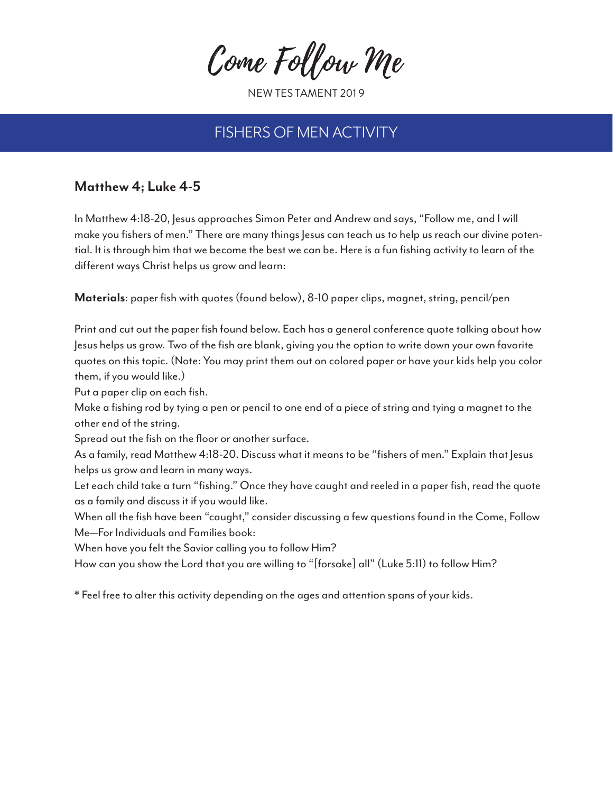Come Follow Me

NEW TES TAMENT 201 9

## FISHERS OF MEN ACTIVITY

### **Matthew 4; Luke 4-5**

In Matthew 4:18-20, Jesus approaches Simon Peter and Andrew and says, "Follow me, and I will make you fishers of men." There are many things Jesus can teach us to help us reach our divine potential. It is through him that we become the best we can be. Here is a fun fishing activity to learn of the different ways Christ helps us grow and learn:

**Materials**: paper fish with quotes (found below), 8-10 paper clips, magnet, string, pencil/pen

Print and cut out the paper fish found below. Each has a general conference quote talking about how Jesus helps us grow. Two of the fish are blank, giving you the option to write down your own favorite quotes on this topic. (Note: You may print them out on colored paper or have your kids help you color them, if you would like.)

Put a paper clip on each fish.

Make a fishing rod by tying a pen or pencil to one end of a piece of string and tying a magnet to the other end of the string.

Spread out the fish on the floor or another surface.

As a family, read Matthew 4:18-20. Discuss what it means to be "fishers of men." Explain that Jesus helps us grow and learn in many ways.

Let each child take a turn "fishing." Once they have caught and reeled in a paper fish, read the quote as a family and discuss it if you would like.

When all the fish have been "caught," consider discussing a few questions found in the Come, Follow Me—For Individuals and Families book:

When have you felt the Savior calling you to follow Him?

How can you show the Lord that you are willing to "[forsake] all" (Luke 5:11) to follow Him?

\* Feel free to alter this activity depending on the ages and attention spans of your kids.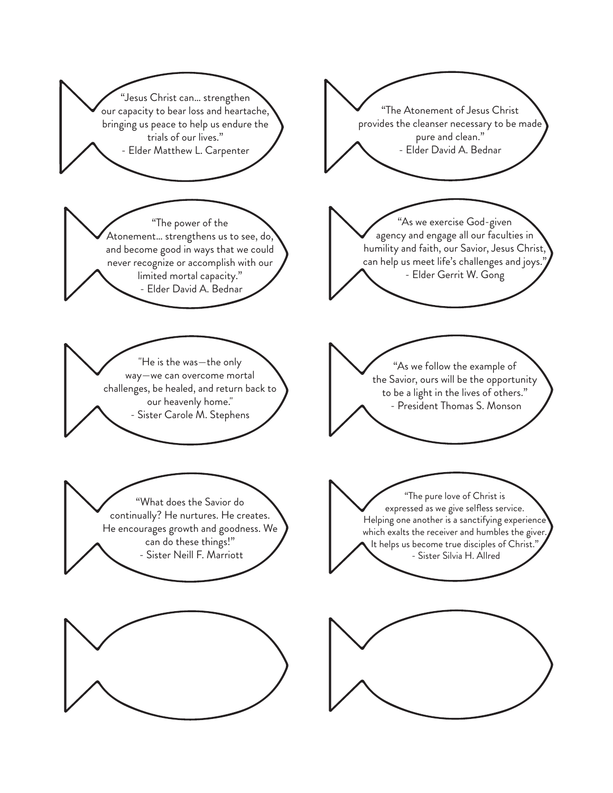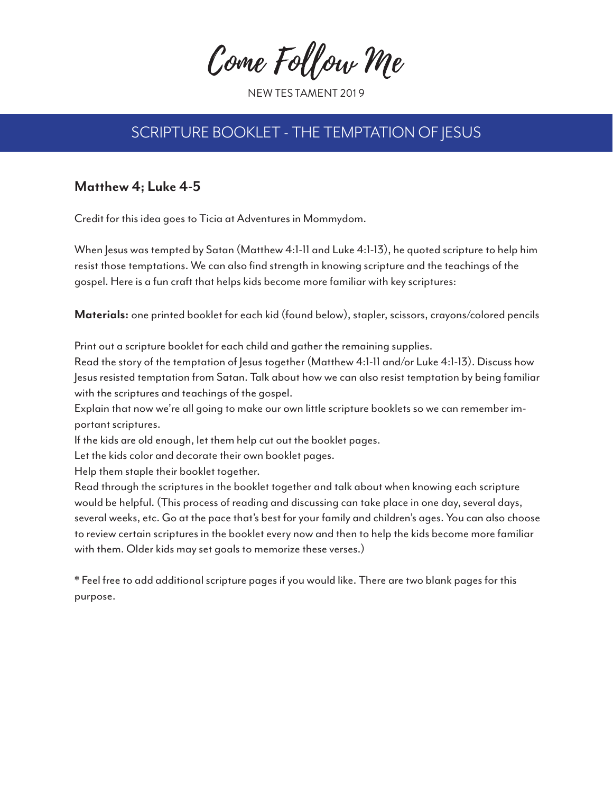Come Follow Me

NEW TES TAMENT 201 9

# SCRIPTURE BOOKLET - THE TEMPTATION OF JESUS

### **Matthew 4; Luke 4-5**

Credit for this idea goes to Ticia at Adventures in Mommydom.

When Jesus was tempted by Satan (Matthew 4:1-11 and Luke 4:1-13), he quoted scripture to help him resist those temptations. We can also find strength in knowing scripture and the teachings of the gospel. Here is a fun craft that helps kids become more familiar with key scriptures:

**Materials:** one printed booklet for each kid (found below), stapler, scissors, crayons/colored pencils

Print out a scripture booklet for each child and gather the remaining supplies.

Read the story of the temptation of Jesus together (Matthew 4:1-11 and/or Luke 4:1-13). Discuss how Jesus resisted temptation from Satan. Talk about how we can also resist temptation by being familiar with the scriptures and teachings of the gospel.

Explain that now we're all going to make our own little scripture booklets so we can remember important scriptures.

If the kids are old enough, let them help cut out the booklet pages.

Let the kids color and decorate their own booklet pages.

Help them staple their booklet together.

Read through the scriptures in the booklet together and talk about when knowing each scripture would be helpful. (This process of reading and discussing can take place in one day, several days, several weeks, etc. Go at the pace that's best for your family and children's ages. You can also choose to review certain scriptures in the booklet every now and then to help the kids become more familiar with them. Older kids may set goals to memorize these verses.)

\* Feel free to add additional scripture pages if you would like. There are two blank pages for this purpose.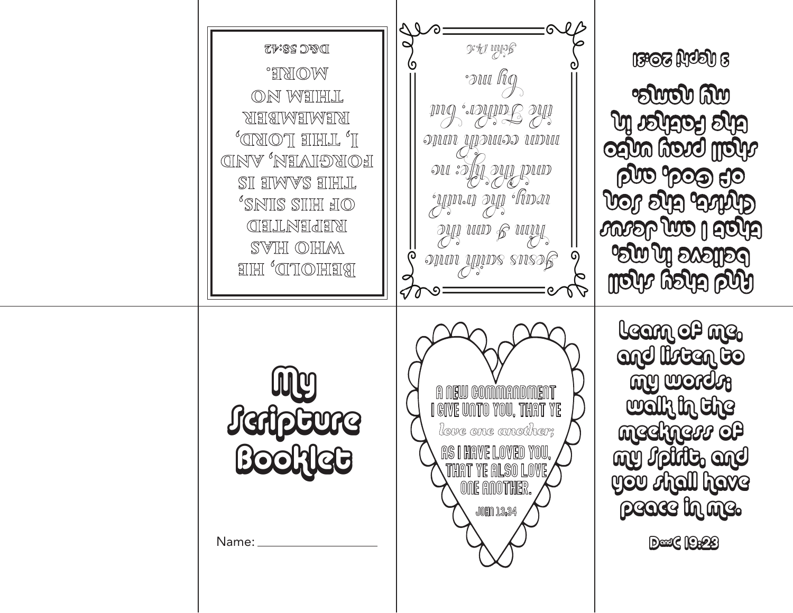